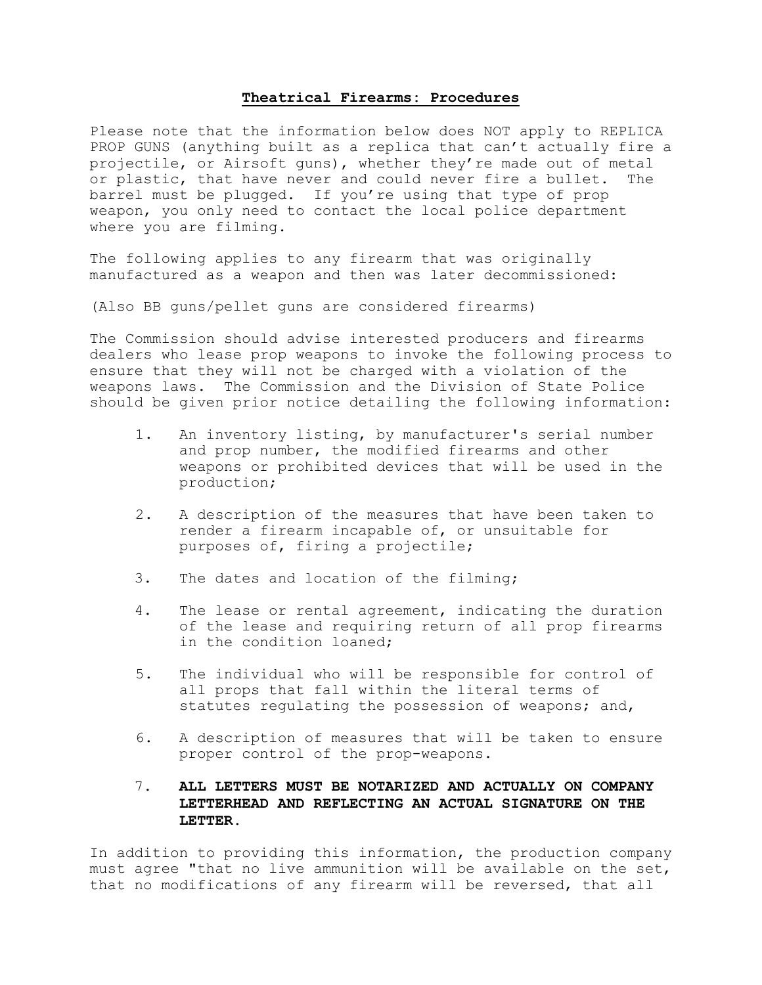## **Theatrical Firearms: Procedures**

Please note that the information below does NOT apply to REPLICA PROP GUNS (anything built as a replica that can't actually fire a projectile, or Airsoft guns), whether they're made out of metal or plastic, that have never and could never fire a bullet. The barrel must be plugged. If you're using that type of prop weapon, you only need to contact the local police department where you are filming.

The following applies to any firearm that was originally manufactured as a weapon and then was later decommissioned:

(Also BB guns/pellet guns are considered firearms)

The Commission should advise interested producers and firearms dealers who lease prop weapons to invoke the following process to ensure that they will not be charged with a violation of the weapons laws. The Commission and the Division of State Police should be given prior notice detailing the following information:

- 1. An inventory listing, by manufacturer's serial number and prop number, the modified firearms and other weapons or prohibited devices that will be used in the production;
- 2. A description of the measures that have been taken to render a firearm incapable of, or unsuitable for purposes of, firing a projectile;
- 3. The dates and location of the filming;
- 4. The lease or rental agreement, indicating the duration of the lease and requiring return of all prop firearms in the condition loaned;
- 5. The individual who will be responsible for control of all props that fall within the literal terms of statutes regulating the possession of weapons; and,
- 6. A description of measures that will be taken to ensure proper control of the prop-weapons.
- 7. **ALL LETTERS MUST BE NOTARIZED AND ACTUALLY ON COMPANY LETTERHEAD AND REFLECTING AN ACTUAL SIGNATURE ON THE LETTER.**

In addition to providing this information, the production company must agree "that no live ammunition will be available on the set, that no modifications of any firearm will be reversed, that all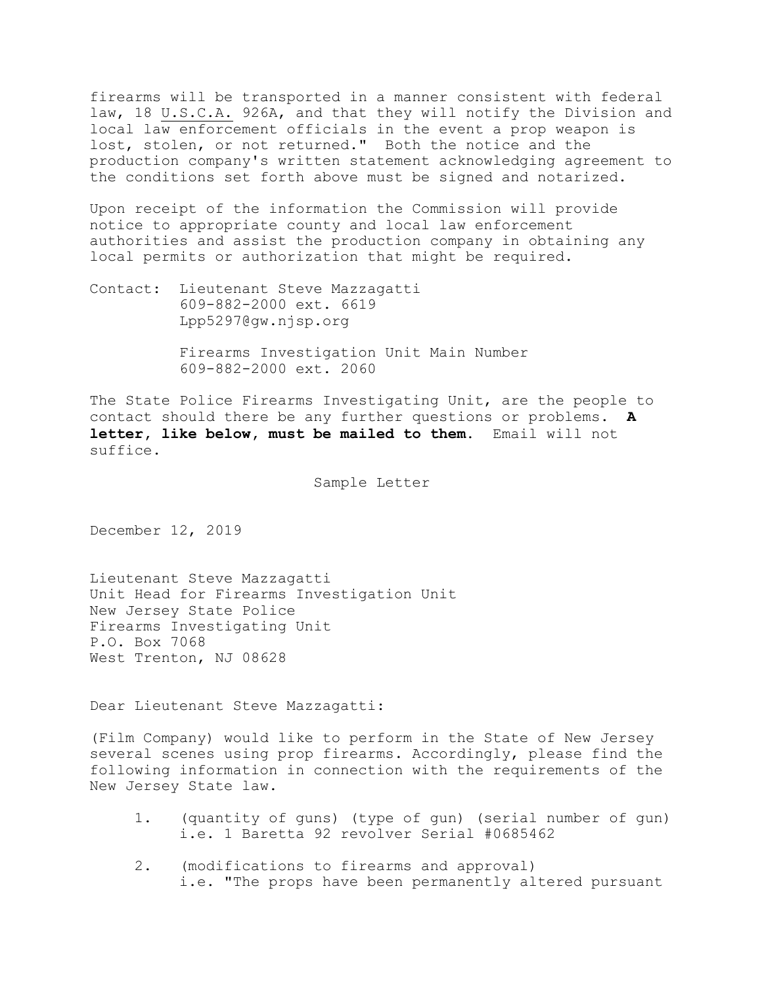firearms will be transported in a manner consistent with federal law, 18 U.S.C.A. 926A, and that they will notify the Division and local law enforcement officials in the event a prop weapon is lost, stolen, or not returned." Both the notice and the production company's written statement acknowledging agreement to the conditions set forth above must be signed and notarized.

Upon receipt of the information the Commission will provide notice to appropriate county and local law enforcement authorities and assist the production company in obtaining any local permits or authorization that might be required.

Contact: Lieutenant Steve Mazzagatti 609-882-2000 ext. 6619 Lpp5297@gw.njsp.org

> Firearms Investigation Unit Main Number 609-882-2000 ext. 2060

The State Police Firearms Investigating Unit, are the people to contact should there be any further questions or problems. **A letter, like below, must be mailed to them.** Email will not suffice.

Sample Letter

December 12, 2019

Lieutenant Steve Mazzagatti Unit Head for Firearms Investigation Unit New Jersey State Police Firearms Investigating Unit P.O. Box 7068 West Trenton, NJ 08628

Dear Lieutenant Steve Mazzagatti:

(Film Company) would like to perform in the State of New Jersey several scenes using prop firearms. Accordingly, please find the following information in connection with the requirements of the New Jersey State law.

- 1. (quantity of guns) (type of gun) (serial number of gun) i.e. 1 Baretta 92 revolver Serial #0685462
- 2. (modifications to firearms and approval) i.e. "The props have been permanently altered pursuant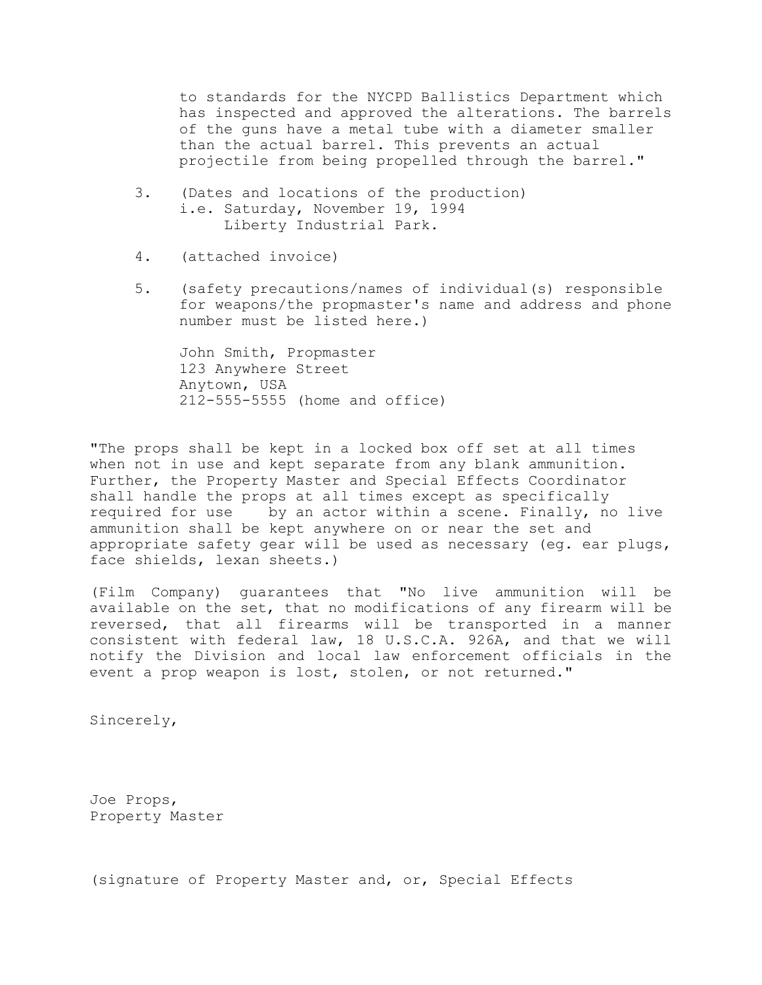to standards for the NYCPD Ballistics Department which has inspected and approved the alterations. The barrels of the guns have a metal tube with a diameter smaller than the actual barrel. This prevents an actual projectile from being propelled through the barrel."

- 3. (Dates and locations of the production) i.e. Saturday, November 19, 1994 Liberty Industrial Park.
- 4. (attached invoice)
- 5. (safety precautions/names of individual(s) responsible for weapons/the propmaster's name and address and phone number must be listed here.)

John Smith, Propmaster 123 Anywhere Street Anytown, USA 212-555-5555 (home and office)

"The props shall be kept in a locked box off set at all times when not in use and kept separate from any blank ammunition. Further, the Property Master and Special Effects Coordinator shall handle the props at all times except as specifically required for use by an actor within a scene. Finally, no live ammunition shall be kept anywhere on or near the set and appropriate safety gear will be used as necessary (eg. ear plugs, face shields, lexan sheets.)

(Film Company) guarantees that "No live ammunition will be available on the set, that no modifications of any firearm will be reversed, that all firearms will be transported in a manner consistent with federal law, 18 U.S.C.A. 926A, and that we will notify the Division and local law enforcement officials in the event a prop weapon is lost, stolen, or not returned."

Sincerely,

Joe Props, Property Master

(signature of Property Master and, or, Special Effects